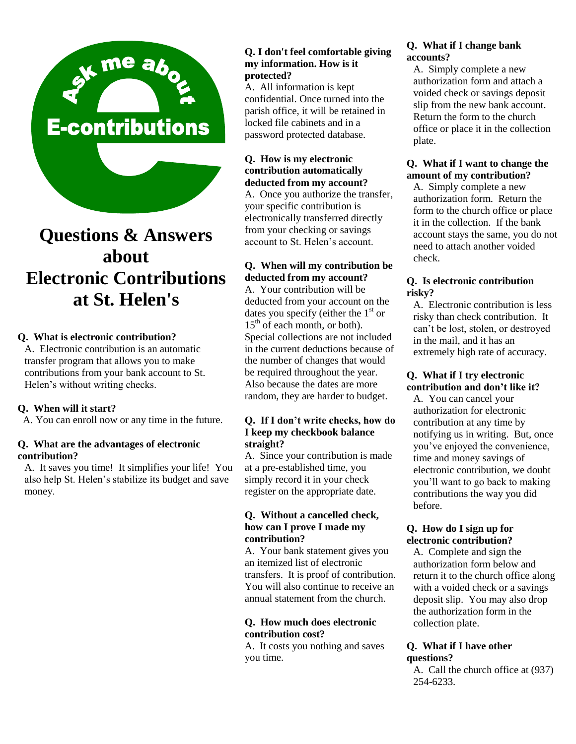

# **Questions & Answers about Electronic Contributions at St. Helen's**

#### **Q. What is electronic contribution?**

A. Electronic contribution is an automatic transfer program that allows you to make contributions from your bank account to St. Helen's without writing checks.

## **Q. When will it start?**

A. You can enroll now or any time in the future.

#### **Q. What are the advantages of electronic contribution?**

A. It saves you time! It simplifies your life! You also help St. Helen's stabilize its budget and save money.

#### **Q. I don't feel comfortable giving my information. How is it protected?**

A. All information is kept confidential. Once turned into the parish office, it will be retained in locked file cabinets and in a password protected database.

#### **Q. How is my electronic contribution automatically deducted from my account?**

A. Once you authorize the transfer, your specific contribution is electronically transferred directly from your checking or savings account to St. Helen's account.

# **Q. When will my contribution be deducted from my account?**

A. Your contribution will be deducted from your account on the dates you specify (either the  $1<sup>st</sup>$  or  $15<sup>th</sup>$  of each month, or both). Special collections are not included in the current deductions because of the number of changes that would be required throughout the year. Also because the dates are more random, they are harder to budget.

#### **Q. If I don't write checks, how do I keep my checkbook balance straight?**

A. Since your contribution is made at a pre-established time, you simply record it in your check register on the appropriate date.

#### **Q. Without a cancelled check, how can I prove I made my contribution?**

A. Your bank statement gives you an itemized list of electronic transfers. It is proof of contribution. You will also continue to receive an annual statement from the church.

#### **Q. How much does electronic contribution cost?**

A. It costs you nothing and saves you time.

#### **Q. What if I change bank accounts?**

A. Simply complete a new authorization form and attach a voided check or savings deposit slip from the new bank account. Return the form to the church office or place it in the collection plate.

## **Q. What if I want to change the amount of my contribution?**

A. Simply complete a new authorization form. Return the form to the church office or place it in the collection. If the bank account stays the same, you do not need to attach another voided check.

#### **Q. Is electronic contribution risky?**

A. Electronic contribution is less risky than check contribution. It can't be lost, stolen, or destroyed in the mail, and it has an extremely high rate of accuracy.

#### **Q. What if I try electronic contribution and don't like it?**

A. You can cancel your authorization for electronic contribution at any time by notifying us in writing. But, once you've enjoyed the convenience, time and money savings of electronic contribution, we doubt you'll want to go back to making contributions the way you did before.

#### **Q. How do I sign up for electronic contribution?**

A. Complete and sign the authorization form below and return it to the church office along with a voided check or a savings deposit slip. You may also drop the authorization form in the collection plate.

#### **Q. What if I have other questions?**

A. Call the church office at (937) 254-6233.